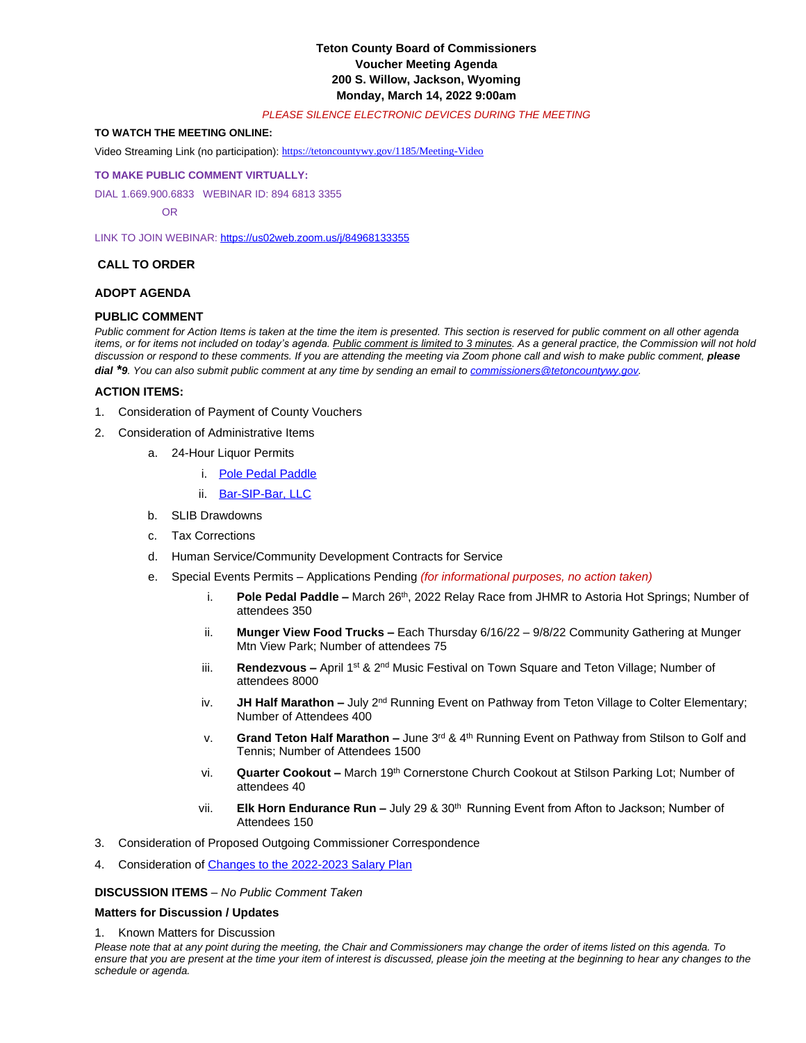## **Teton County Board of Commissioners Voucher Meeting Agenda 200 S. Willow, Jackson, Wyoming Monday, March 14, 2022 9:00am**

#### *PLEASE SILENCE ELECTRONIC DEVICES DURING THE MEETING*

### **TO WATCH THE MEETING ONLINE:**

Video Streaming Link (no participation): <https://tetoncountywy.gov/1185/Meeting-Video>

#### **[TO MAKE PUBLIC COMMENT VIRTUALLY:](https://tetoncountywy.gov/1185/Meeting-Video)**

[DIAL 1.669.900.6833 WEBINAR ID:](https://tetoncountywy.gov/1185/Meeting-Video) [894 6813 3355](https://tetoncountywy.gov/1185/Meeting-Video)

 [OR](https://tetoncountywy.gov/1185/Meeting-Video)

[LINK TO JOIN WEBINAR:](https://tetoncountywy.gov/1185/Meeting-Video) <https://us02web.zoom.us/j/84968133355>

### **CALL TO ORDER**

## **ADOPT AGENDA**

#### **PUBLIC COMMENT**

*Public comment for Action Items is taken at the time the item is presented. This section is reserved for public comment on all other agenda items, or for items not included on today's agenda. Public comment is limited to 3 minutes. As a general practice, the Commission will not hold* discussion or respond to these comments. If you are attending the meeting via Zoom phone call and wish to make public comment, *please dial \*9. You can also submit public comment at any time by sending an email to [commissioners@tetoncountywy.gov.](mailto:commissioners@tetoncountywy.gov)*

### **[ACTION ITEMS:](mailto:commissioners@tetoncountywy.gov)**

- 1. [Consideration of](mailto:commissioners@tetoncountywy.gov) [Payment](mailto:commissioners@tetoncountywy.gov) [of County Vouchers](mailto:commissioners@tetoncountywy.gov)
- 2. [Consideration of Administrative Items](mailto:commissioners@tetoncountywy.gov)
	- a. [24-Hour Liquor Permits](mailto:commissioners@tetoncountywy.gov)
		- i. [Pole Pedal Paddle](https://tetoncountywy.gov/DocumentCenter/View/21531/03142-Pole-Pedal-Paddle-31422a)
		- ii. [Bar-SIP-Bar, LLC](https://tetoncountywy.gov/DocumentCenter/View/21530/03142-Catering-Permit-Bar-SIP-Bar-31422)
	- b. SLIB Drawdowns
	- c. Tax Corrections
	- d. Human Service/Community Development Contracts for Service
	- e. Special Events Permits Applications Pending *(for informational purposes, no action taken)*
		- i. **Pole Pedal Paddle –** March 26<sup>th</sup>, 2022 Relay Race from JHMR to Astoria Hot Springs; Number of attendees 350
		- ii. **Munger View Food Trucks –** Each Thursday 6/16/22 9/8/22 Community Gathering at Munger Mtn View Park; Number of attendees 75
		- iii. **Rendezvous –** April 1st & 2nd Music Festival on Town Square and Teton Village; Number of attendees 8000
		- iv. **JH Half Marathon -** July 2<sup>nd</sup> Running Event on Pathway from Teton Village to Colter Elementary; Number of Attendees 400
		- v. **Grand Teton Half Marathon –** June 3rd & 4th Running Event on Pathway from Stilson to Golf and Tennis; Number of Attendees 1500
		- vi. **Quarter Cookout –** March 19th Cornerstone Church Cookout at Stilson Parking Lot; Number of attendees 40
		- vii. **Elk Horn Endurance Run -** July 29 & 30<sup>th</sup> Running Event from Afton to Jackson; Number of Attendees 150
- 3. Consideration of Proposed Outgoing Commissioner Correspondence
- 4. Consideration of [Changes to the 2022-2023 Salary Plan](https://tetoncountywy.gov/DocumentCenter/View/21574/03144-Consideration-of-Amended-22-2023-Teton-County-Salary-Plan)

#### **[DISCUSSION ITEMS](https://tetoncountywy.gov/DocumentCenter/View/21574/03144-Consideration-of-Amended-22-2023-Teton-County-Salary-Plan)** *[–](https://tetoncountywy.gov/DocumentCenter/View/21574/03144-Consideration-of-Amended-22-2023-Teton-County-Salary-Plan) [No Public Comment Taken](https://tetoncountywy.gov/DocumentCenter/View/21574/03144-Consideration-of-Amended-22-2023-Teton-County-Salary-Plan)*

#### **[Matters for Discussion / Updates](https://tetoncountywy.gov/DocumentCenter/View/21574/03144-Consideration-of-Amended-22-2023-Teton-County-Salary-Plan)**

#### 1. [Known Matters for Discussion](https://tetoncountywy.gov/DocumentCenter/View/21574/03144-Consideration-of-Amended-22-2023-Teton-County-Salary-Plan)

*Please note that at any point during the meeting, the Chair and Commissioners may change the order of items listed on this agenda. To ensure that you are present at the time your item of interest is discussed, please join the meeting at the beginning to hear any changes to the schedule or agenda.*